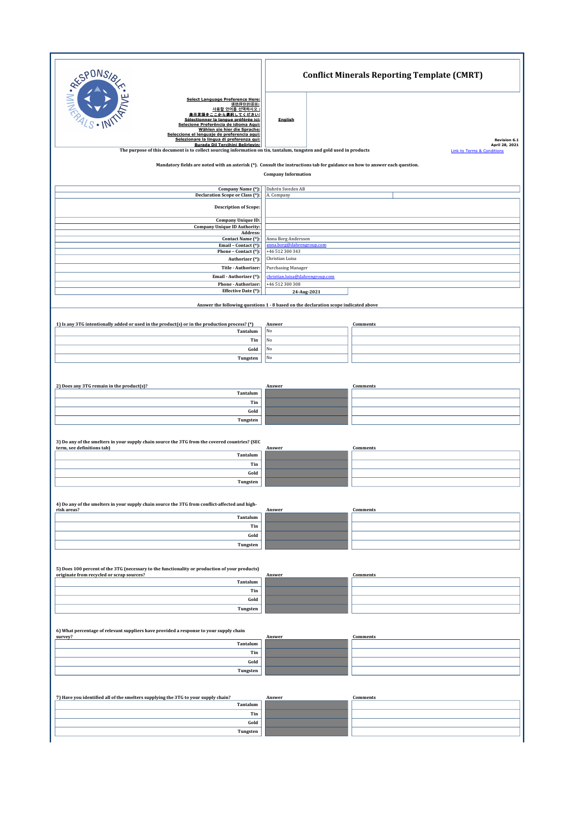| RESPONS                                                                                                                                                                                                                                                                                                                                                                                                                                                            | <b>Conflict Minerals Reporting Template (CMRT)</b>                                                           |                                                                                     |  |  |
|--------------------------------------------------------------------------------------------------------------------------------------------------------------------------------------------------------------------------------------------------------------------------------------------------------------------------------------------------------------------------------------------------------------------------------------------------------------------|--------------------------------------------------------------------------------------------------------------|-------------------------------------------------------------------------------------|--|--|
| <b>Select Language Preference Here:</b><br>请选择你的语言:<br>사용할 언어를 선택하시오<br>表示言語をここから選択してください:<br>Sélectionner la langue préférée ici:<br>Selecione Preferência de idioma Aqui:<br>Wählen sie hier die Sprache:<br>Seleccione el lenguaje de preferencia aqui:<br>Selezionare la lingua di preferenza qui:<br>Burada Dil Tercihini Belirleyin:<br>The purpose of this document is to collect sourcing information on tin, tantalum, tungsten and gold used in products | English                                                                                                      | <b>Revision 6.1</b><br>April 28, 2021<br><b>Link to Terms &amp; Conditions</b>      |  |  |
| Mandatory fields are noted with an asterisk (*). Consult the instructions tab for guidance on how to answer each question.<br><b>Company Information</b>                                                                                                                                                                                                                                                                                                           |                                                                                                              |                                                                                     |  |  |
| Company Name (*):<br><b>Declaration Scope or Class (*):</b>                                                                                                                                                                                                                                                                                                                                                                                                        | Dahrén Sweden AB<br>A. Company                                                                               |                                                                                     |  |  |
| <b>Description of Scope:</b><br><b>Company Unique ID:</b><br><b>Company Unique ID Authority:</b><br>Address:<br>Contact Name (*):<br>Email - Contact (*):<br>Phone - Contact (*):<br>Authorizer (*):<br>Title - Authorizer:                                                                                                                                                                                                                                        | Anna Borg Andersson<br>anna.borg@dahrengroup.com<br>+46 512 300 343<br>Christian Luisa<br>Purchasing Manager |                                                                                     |  |  |
| Email - Authorizer (*):<br>Phone - Authorizer:                                                                                                                                                                                                                                                                                                                                                                                                                     | christian.luisa@dahrengroup.com                                                                              |                                                                                     |  |  |
| Effective Date (*):                                                                                                                                                                                                                                                                                                                                                                                                                                                | +46 512 300 308                                                                                              | 24-Aug-2021                                                                         |  |  |
|                                                                                                                                                                                                                                                                                                                                                                                                                                                                    |                                                                                                              | Answer the following questions 1 - 8 based on the declaration scope indicated above |  |  |
| 1) Is any 3TG intentionally added or used in the product(s) or in the production process? (*)<br>Tantalum                                                                                                                                                                                                                                                                                                                                                          | Answer<br>No                                                                                                 | Comments                                                                            |  |  |
| Tin<br>Gold                                                                                                                                                                                                                                                                                                                                                                                                                                                        | $_{\rm No}$<br>No                                                                                            |                                                                                     |  |  |
| Tungsten                                                                                                                                                                                                                                                                                                                                                                                                                                                           | No                                                                                                           |                                                                                     |  |  |
| 2) Does any 3TG remain in the product(s)?<br>Tantalum                                                                                                                                                                                                                                                                                                                                                                                                              | Answer                                                                                                       | Comments                                                                            |  |  |
| Tin<br>Gold                                                                                                                                                                                                                                                                                                                                                                                                                                                        |                                                                                                              |                                                                                     |  |  |
| Tungsten                                                                                                                                                                                                                                                                                                                                                                                                                                                           |                                                                                                              |                                                                                     |  |  |
| 3) Do any of the smelters in your supply chain source the 3TG from the covered countries? (SEC<br>term, see definitions tab)<br>Tantalum                                                                                                                                                                                                                                                                                                                           | Answer                                                                                                       | Comments                                                                            |  |  |
| Tin                                                                                                                                                                                                                                                                                                                                                                                                                                                                |                                                                                                              |                                                                                     |  |  |
| Gold<br>Tungsten                                                                                                                                                                                                                                                                                                                                                                                                                                                   |                                                                                                              |                                                                                     |  |  |
| 4) Do any of the smelters in your supply chain source the 3TG from conflict-affected and high-<br>risk areas?                                                                                                                                                                                                                                                                                                                                                      | Answer                                                                                                       | Comments                                                                            |  |  |
| Tantalum<br>Tin                                                                                                                                                                                                                                                                                                                                                                                                                                                    |                                                                                                              |                                                                                     |  |  |
| Gold<br>Tungsten                                                                                                                                                                                                                                                                                                                                                                                                                                                   |                                                                                                              |                                                                                     |  |  |
|                                                                                                                                                                                                                                                                                                                                                                                                                                                                    |                                                                                                              |                                                                                     |  |  |
| 5) Does 100 percent of the 3TG (necessary to the functionality or production of your products)<br>originate from recycled or scrap sources?<br>Tantalum                                                                                                                                                                                                                                                                                                            | Answer                                                                                                       | Comments                                                                            |  |  |
| Tin                                                                                                                                                                                                                                                                                                                                                                                                                                                                |                                                                                                              |                                                                                     |  |  |
| Gold<br>Tungsten                                                                                                                                                                                                                                                                                                                                                                                                                                                   |                                                                                                              |                                                                                     |  |  |
| 6) What percentage of relevant suppliers have provided a response to your supply chain<br>survey?                                                                                                                                                                                                                                                                                                                                                                  | Answer                                                                                                       | Comments                                                                            |  |  |
| Tantalum<br>Tin                                                                                                                                                                                                                                                                                                                                                                                                                                                    |                                                                                                              |                                                                                     |  |  |
| Gold                                                                                                                                                                                                                                                                                                                                                                                                                                                               |                                                                                                              |                                                                                     |  |  |
| Tungsten                                                                                                                                                                                                                                                                                                                                                                                                                                                           |                                                                                                              |                                                                                     |  |  |
| 7) Have you identified all of the smelters supplying the 3TG to your supply chain?                                                                                                                                                                                                                                                                                                                                                                                 | Answer                                                                                                       | Comments                                                                            |  |  |
| Tantalum                                                                                                                                                                                                                                                                                                                                                                                                                                                           |                                                                                                              |                                                                                     |  |  |
| Tin<br>Gold                                                                                                                                                                                                                                                                                                                                                                                                                                                        |                                                                                                              |                                                                                     |  |  |
| Tungsten                                                                                                                                                                                                                                                                                                                                                                                                                                                           |                                                                                                              |                                                                                     |  |  |